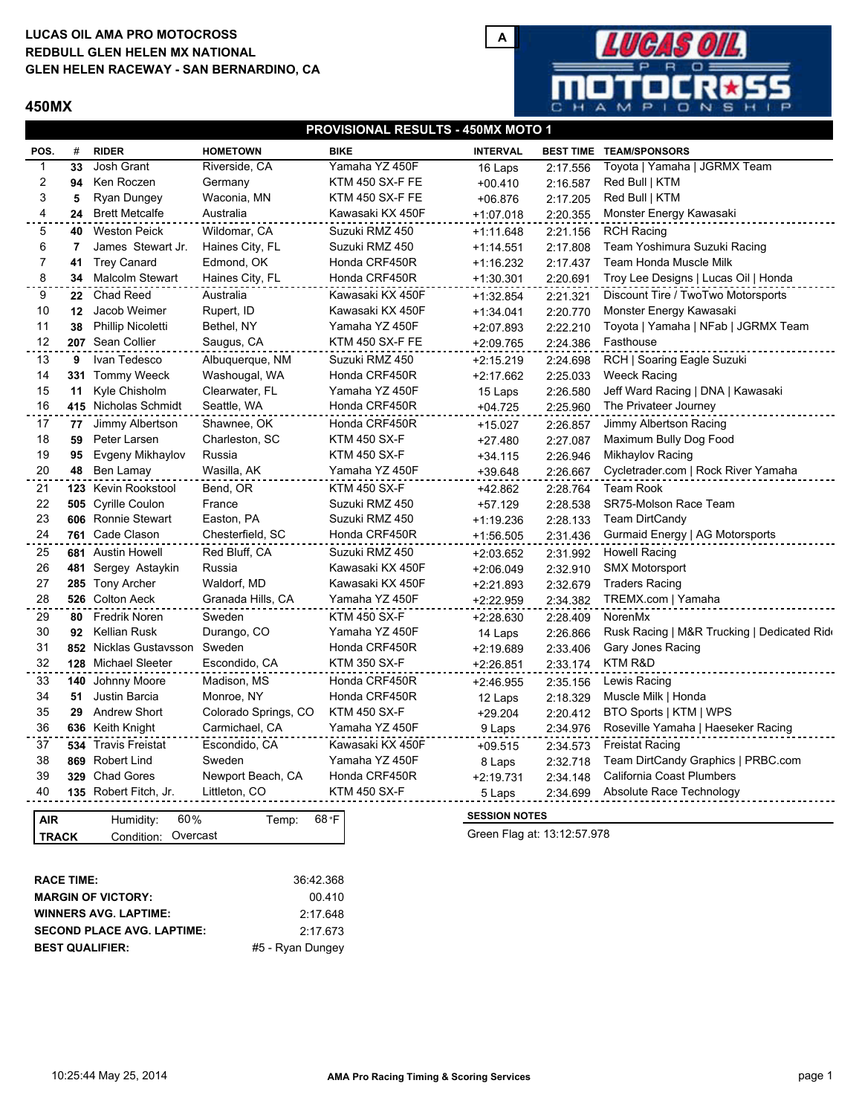## **LUCAS OIL AMA PRO MOTOCROSS GLEN HELEN RACEWAY - SAN BERNARDINO, CA REDBULL GLEN HELEN MX NATIONAL**

## **450MX**



| POS.           | #              | <b>RIDER</b>                       | <b>HOMETOWN</b>      | <b>BIKE</b>         | <b>INTERVAL</b> | <b>BEST TIME TEAM/SPONSORS</b> |                                            |  |  |
|----------------|----------------|------------------------------------|----------------------|---------------------|-----------------|--------------------------------|--------------------------------------------|--|--|
| 1              | 33             | Josh Grant                         | Riverside, CA        | Yamaha YZ 450F      | 16 Laps         | 2:17.556                       | Toyota   Yamaha   JGRMX Team               |  |  |
| 2              | 94             | Ken Roczen                         | Germany              | KTM 450 SX-F FE     | $+00.410$       | 2:16.587                       | Red Bull   KTM                             |  |  |
| 3              | 5              | Ryan Dungey                        | Waconia, MN          | KTM 450 SX-F FE     | $+06.876$       | 2:17.205                       | Red Bull   KTM                             |  |  |
| 4              |                | 24 Brett Metcalfe                  | Australia            | Kawasaki KX 450F    | $+1:07.018$     | 2:20.355                       | Monster Energy Kawasaki                    |  |  |
| 5              | 40             | <b>Weston Peick</b>                | Wildomar, CA         | Suzuki RMZ 450      | $+1:11.648$     | 2:21.156                       | <b>RCH Racing</b>                          |  |  |
| 6              | $\overline{7}$ | James Stewart Jr.                  | Haines City, FL      | Suzuki RMZ 450      | $+1:14.551$     | 2:17.808                       | Team Yoshimura Suzuki Racing               |  |  |
| $\overline{7}$ | 41             | <b>Trey Canard</b>                 | Edmond, OK           | Honda CRF450R       | +1:16.232       | 2:17.437                       | Team Honda Muscle Milk                     |  |  |
| 8              |                | 34 Malcolm Stewart                 | Haines City, FL      | Honda CRF450R       | +1:30.301       | 2:20.691                       | Troy Lee Designs   Lucas Oil   Honda       |  |  |
| 9              |                | 22 Chad Reed                       | Australia            | Kawasaki KX 450F    | +1:32.854       | 2:21.321                       | Discount Tire / TwoTwo Motorsports         |  |  |
| 10             | 12             | Jacob Weimer                       | Rupert, ID           | Kawasaki KX 450F    | $+1:34.041$     | 2:20.770                       | Monster Energy Kawasaki                    |  |  |
| 11             | 38             | <b>Phillip Nicoletti</b>           | Bethel, NY           | Yamaha YZ 450F      | $+2:07.893$     | 2:22.210                       | Toyota   Yamaha   NFab   JGRMX Team        |  |  |
| 12             |                | 207 Sean Collier                   | Saugus, CA           | KTM 450 SX-F FE     | +2:09.765       | 2:24.386                       | Fasthouse                                  |  |  |
| 13             | 9              | Ivan Tedesco                       | Albuquerque, NM      | Suzuki RMZ 450      | $+2:15.219$     | 2:24.698                       | RCH   Soaring Eagle Suzuki                 |  |  |
| 14             |                | 331 Tommy Weeck                    | Washougal, WA        | Honda CRF450R       | $+2:17.662$     | 2:25.033                       | <b>Weeck Racing</b>                        |  |  |
| 15             | 11             | Kyle Chisholm                      | Clearwater, FL       | Yamaha YZ 450F      | 15 Laps         | 2:26.580                       | Jeff Ward Racing   DNA   Kawasaki          |  |  |
| 16             |                | 415 Nicholas Schmidt               | Seattle, WA          | Honda CRF450R       | $+04.725$       | 2:25.960                       | The Privateer Journey                      |  |  |
| 17             | 77             | Jimmy Albertson                    | Shawnee, OK          | Honda CRF450R       | +15.027         | 2:26.857                       | Jimmy Albertson Racing                     |  |  |
| 18             | 59             | Peter Larsen                       | Charleston, SC       | <b>KTM 450 SX-F</b> | +27.480         | 2:27.087                       | Maximum Bully Dog Food                     |  |  |
| 19             | 95             | Evgeny Mikhaylov                   | Russia               | <b>KTM 450 SX-F</b> | $+34.115$       | 2:26.946                       | Mikhaylov Racing                           |  |  |
| 20             | 48             | Ben Lamay                          | Wasilla, AK          | Yamaha YZ 450F      | +39.648         | 2:26.667                       | Cycletrader.com   Rock River Yamaha        |  |  |
| 21             |                | 123 Kevin Rookstool                | Bend, OR             | <b>KTM 450 SX-F</b> | +42.862         | 2:28.764                       | <b>Team Rook</b>                           |  |  |
| 22             |                | 505 Cyrille Coulon                 | France               | Suzuki RMZ 450      | +57.129         | 2:28.538                       | SR75-Molson Race Team                      |  |  |
| 23             |                | 606 Ronnie Stewart                 | Easton, PA           | Suzuki RMZ 450      | +1:19.236       | 2:28.133                       | <b>Team DirtCandy</b>                      |  |  |
| 24             |                | 761 Cade Clason                    | Chesterfield, SC     | Honda CRF450R       | +1:56.505       | 2:31.436                       | Gurmaid Energy   AG Motorsports            |  |  |
| 25             |                | 681 Austin Howell                  | Red Bluff, CA        | Suzuki RMZ 450      | +2:03.652       | 2:31.992                       | <b>Howell Racing</b>                       |  |  |
| 26             |                | 481 Sergey Astaykin                | Russia               | Kawasaki KX 450F    | +2:06.049       | 2:32.910                       | <b>SMX Motorsport</b>                      |  |  |
| 27             |                | 285 Tony Archer                    | Waldorf, MD          | Kawasaki KX 450F    | $+2:21.893$     | 2:32.679                       | <b>Traders Racing</b>                      |  |  |
| 28             |                | 526 Colton Aeck                    | Granada Hills, CA    | Yamaha YZ 450F      | +2:22.959       | 2:34.382                       | TREMX.com   Yamaha                         |  |  |
| 29             | 80             | Fredrik Noren                      | Sweden               | <b>KTM 450 SX-F</b> | $+2:28.630$     | 2:28.409                       | NorenMx                                    |  |  |
| 30             | 92             | <b>Kellian Rusk</b>                | Durango, CO          | Yamaha YZ 450F      | 14 Laps         | 2:26.866                       | Rusk Racing   M&R Trucking   Dedicated Rid |  |  |
| 31             |                | 852 Nicklas Gustavsson             | Sweden               | Honda CRF450R       | $+2:19.689$     | 2:33.406                       | Gary Jones Racing                          |  |  |
| 32             |                | 128 Michael Sleeter                | Escondido, CA        | <b>KTM 350 SX-F</b> | +2:26.851       | 2:33.174                       | KTM R&D                                    |  |  |
| 33             |                | 140 Johnny Moore                   | Madison, MS          | Honda CRF450R       | $+2:46.955$     | 2:35.156                       | Lewis Racing                               |  |  |
| 34             | 51             | Justin Barcia                      | Monroe, NY           | Honda CRF450R       | 12 Laps         | 2:18.329                       | Muscle Milk   Honda                        |  |  |
| 35             | 29             | <b>Andrew Short</b>                | Colorado Springs, CO | <b>KTM 450 SX-F</b> | $+29.204$       | 2:20.412                       | BTO Sports   KTM   WPS                     |  |  |
| 36             |                | 636 Keith Knight                   | Carmichael, CA       | Yamaha YZ 450F      | 9 Laps          | 2:34.976                       | Roseville Yamaha   Haeseker Racing         |  |  |
| 37             |                | 534 Travis Freistat                | Escondido, CA        | Kawasaki KX 450F    | $+09.515$       | 2:34.573                       | <b>Freistat Racing</b>                     |  |  |
| 38             |                | 869 Robert Lind                    | Sweden               | Yamaha YZ 450F      | 8 Laps          | 2:32.718                       | Team DirtCandy Graphics   PRBC.com         |  |  |
| 39             |                | 329 Chad Gores                     | Newport Beach, CA    | Honda CRF450R       | $+2:19.731$     | 2:34.148                       | California Coast Plumbers                  |  |  |
| 40             |                | 135 Robert Fitch, Jr.              | Littleton, CO        | <b>KTM 450 SX-F</b> | 5 Laps          | 2:34.699                       | Absolute Race Technology                   |  |  |
|                |                |                                    |                      |                     |                 |                                |                                            |  |  |
| <b>AIR</b>     |                | 68 °F<br>60%<br>Humidity:<br>Temp: |                      |                     |                 | <b>SESSION NOTES</b>           |                                            |  |  |

| TRACK                  | Condition: Overcast               |                  |
|------------------------|-----------------------------------|------------------|
|                        |                                   |                  |
|                        |                                   |                  |
| <b>RACE TIME:</b>      |                                   | 36:42.368        |
|                        | <b>MARGIN OF VICTORY:</b>         | 00.410           |
|                        | <b>WINNERS AVG. LAPTIME:</b>      | 2:17.648         |
|                        | <b>SECOND PLACE AVG. LAPTIME:</b> | 2:17.673         |
| <b>BEST QUALIFIER:</b> |                                   | #5 - Ryan Dungey |

Green Flag at: 13:12:57.978